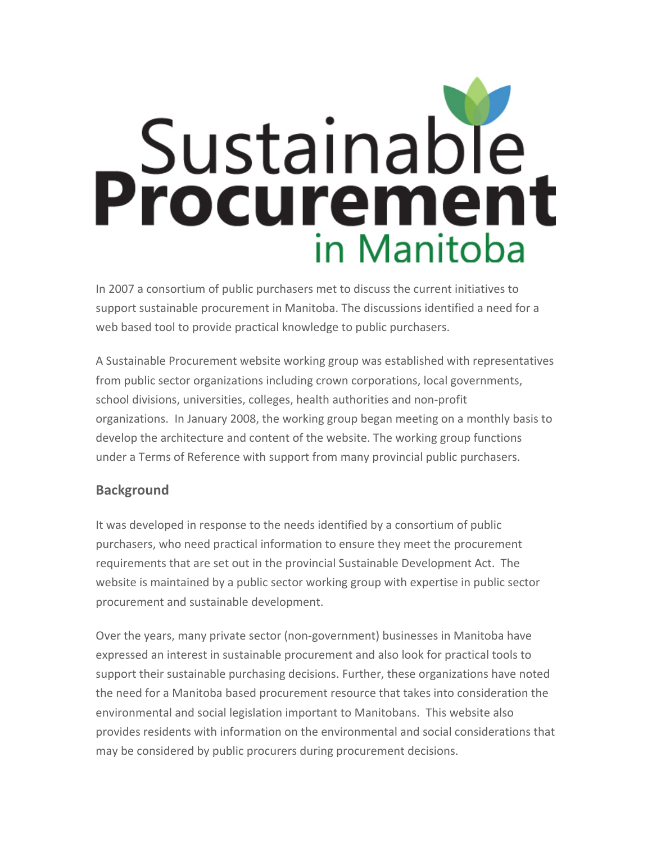## **Sustainable**<br>**Procurement** in Manitoba

In 2007 a consortium of public purchasers met to discuss the current initiatives to support sustainable procurement in Manitoba. The discussions identified a need for a web based tool to provide practical knowledge to public purchasers.

A Sustainable Procurement website working group was established with representatives from public sector organizations including crown corporations, local governments, school divisions, universities, colleges, health authorities and non‐profit organizations. In January 2008, the working group began meeting on a monthly basis to develop the architecture and content of the website. The working group functions under a Terms of Reference with support from many provincial public purchasers.

## **Background**

It was developed in response to the needs identified by a consortium of public purchasers, who need practical information to ensure they meet the procurement requirements that are set out in the provincial Sustainable Development Act. The website is maintained by a public sector working group with expertise in public sector procurement and sustainable development.

Over the years, many private sector (non‐government) businesses in Manitoba have expressed an interest in sustainable procurement and also look for practical tools to support their sustainable purchasing decisions. Further, these organizations have noted the need for a Manitoba based procurement resource that takes into consideration the environmental and social legislation important to Manitobans. This website also provides residents with information on the environmental and social considerations that may be considered by public procurers during procurement decisions.